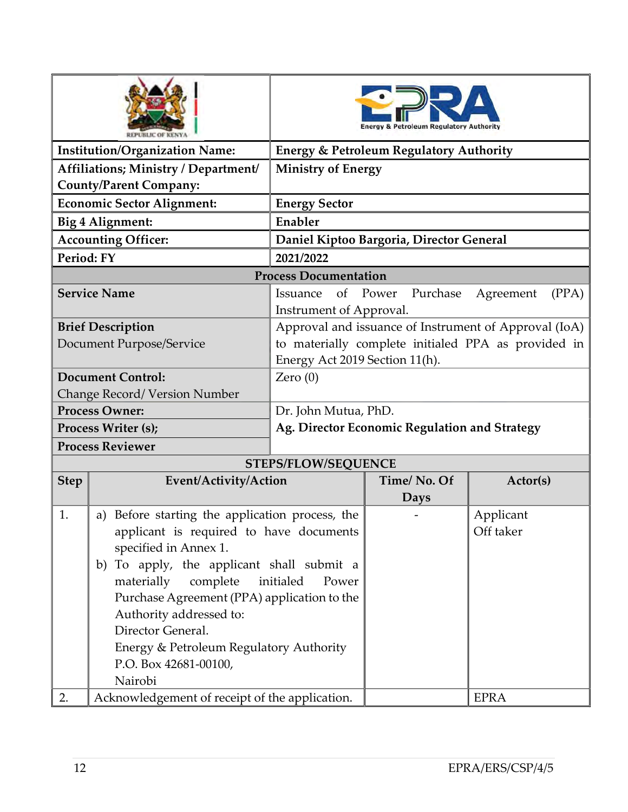|                                       |                                                 | <b>Regulatory Authority</b>                               |             |           |  |  |  |
|---------------------------------------|-------------------------------------------------|-----------------------------------------------------------|-------------|-----------|--|--|--|
| <b>Institution/Organization Name:</b> |                                                 | <b>Energy &amp; Petroleum Regulatory Authority</b>        |             |           |  |  |  |
| Affiliations; Ministry / Department/  |                                                 | <b>Ministry of Energy</b>                                 |             |           |  |  |  |
| <b>County/Parent Company:</b>         |                                                 |                                                           |             |           |  |  |  |
| <b>Economic Sector Alignment:</b>     |                                                 | <b>Energy Sector</b>                                      |             |           |  |  |  |
| Big 4 Alignment:                      |                                                 | Enabler                                                   |             |           |  |  |  |
| <b>Accounting Officer:</b>            |                                                 | Daniel Kiptoo Bargoria, Director General                  |             |           |  |  |  |
| Period: FY                            |                                                 | 2021/2022                                                 |             |           |  |  |  |
| <b>Process Documentation</b>          |                                                 |                                                           |             |           |  |  |  |
|                                       | <b>Service Name</b>                             | of<br>Power<br>Purchase<br>Agreement<br>(PPA)<br>Issuance |             |           |  |  |  |
|                                       |                                                 | Instrument of Approval.                                   |             |           |  |  |  |
|                                       | <b>Brief Description</b>                        | Approval and issuance of Instrument of Approval (IoA)     |             |           |  |  |  |
|                                       | Document Purpose/Service                        | to materially complete initialed PPA as provided in       |             |           |  |  |  |
|                                       |                                                 | Energy Act 2019 Section 11(h).                            |             |           |  |  |  |
| <b>Document Control:</b>              |                                                 | Zero $(0)$                                                |             |           |  |  |  |
| Change Record/ Version Number         |                                                 |                                                           |             |           |  |  |  |
| <b>Process Owner:</b>                 |                                                 | Dr. John Mutua, PhD.                                      |             |           |  |  |  |
| Process Writer (s);                   |                                                 | Ag. Director Economic Regulation and Strategy             |             |           |  |  |  |
|                                       | <b>Process Reviewer</b>                         |                                                           |             |           |  |  |  |
|                                       |                                                 | <b>STEPS/FLOW/SEQUENCE</b>                                |             |           |  |  |  |
| <b>Step</b>                           | Event/Activity/Action                           |                                                           | Time/No. Of | Actor(s)  |  |  |  |
|                                       |                                                 |                                                           | <b>Days</b> |           |  |  |  |
| 1.                                    | a) Before starting the application process, the |                                                           |             | Applicant |  |  |  |
|                                       | applicant is required to have documents         |                                                           |             | Off taker |  |  |  |
|                                       | specified in Annex 1.                           |                                                           |             |           |  |  |  |
|                                       | To apply, the applicant shall submit a<br>b)    |                                                           |             |           |  |  |  |
|                                       | materially<br>initialed<br>complete             |                                                           |             |           |  |  |  |
|                                       | Purchase Agreement (PPA) application to the     |                                                           |             |           |  |  |  |
|                                       | Authority addressed to:                         |                                                           |             |           |  |  |  |
|                                       | Director General.                               |                                                           |             |           |  |  |  |
|                                       | Energy & Petroleum Regulatory Authority         |                                                           |             |           |  |  |  |
|                                       | P.O. Box 42681-00100,                           |                                                           |             |           |  |  |  |
|                                       | Nairobi                                         |                                                           |             |           |  |  |  |
| 2.                                    | Acknowledgement of receipt of the application.  |                                                           | <b>EPRA</b> |           |  |  |  |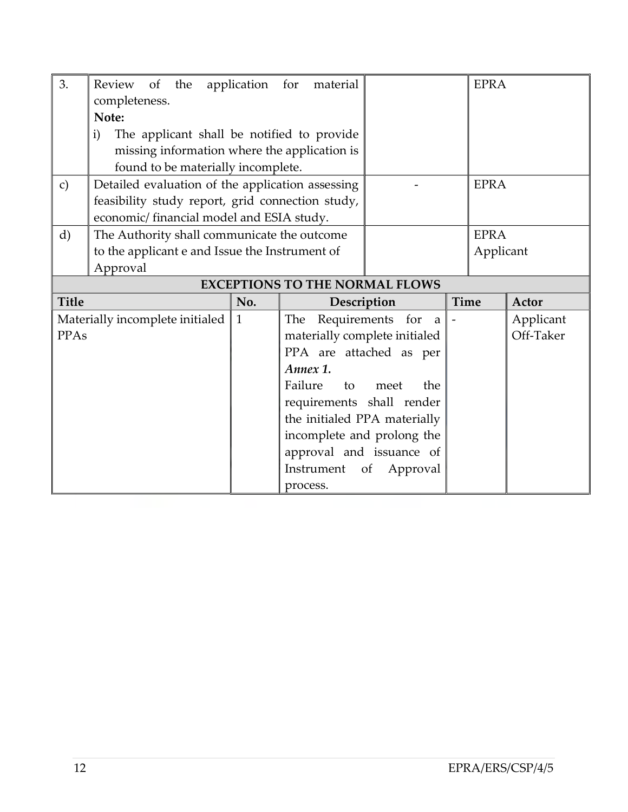| 3.                                    | Review of the<br>completeness.                             | application for | material                      |                | <b>EPRA</b> |           |  |  |
|---------------------------------------|------------------------------------------------------------|-----------------|-------------------------------|----------------|-------------|-----------|--|--|
|                                       | Note:                                                      |                 |                               |                |             |           |  |  |
|                                       | $\mathbf{i}$<br>The applicant shall be notified to provide |                 |                               |                |             |           |  |  |
|                                       | missing information where the application is               |                 |                               |                |             |           |  |  |
|                                       | found to be materially incomplete.                         |                 |                               |                |             |           |  |  |
| $\mathbf{c})$                         | Detailed evaluation of the application assessing           |                 |                               |                | <b>EPRA</b> |           |  |  |
|                                       | feasibility study report, grid connection study,           |                 |                               |                |             |           |  |  |
|                                       | economic/ financial model and ESIA study.                  |                 |                               |                |             |           |  |  |
| $\mathbf{d}$                          | The Authority shall communicate the outcome                |                 |                               |                | <b>EPRA</b> |           |  |  |
|                                       | to the applicant e and Issue the Instrument of             |                 |                               |                |             | Applicant |  |  |
| Approval                              |                                                            |                 |                               |                |             |           |  |  |
| <b>EXCEPTIONS TO THE NORMAL FLOWS</b> |                                                            |                 |                               |                |             |           |  |  |
| <b>Title</b>                          |                                                            | No.             | Description                   |                | Time        | Actor     |  |  |
| Materially incomplete initialed       |                                                            | $\mathbf{1}$    | Requirements for<br>The<br>a  |                |             | Applicant |  |  |
| <b>PPAs</b>                           |                                                            |                 | materially complete initialed |                |             |           |  |  |
|                                       |                                                            |                 |                               |                |             | Off-Taker |  |  |
|                                       |                                                            |                 | PPA are attached as per       |                |             |           |  |  |
|                                       |                                                            |                 | Annex 1.                      |                |             |           |  |  |
|                                       |                                                            |                 | Failure<br>to                 | meet<br>the    |             |           |  |  |
|                                       |                                                            |                 | requirements shall render     |                |             |           |  |  |
|                                       |                                                            |                 | the initialed PPA materially  |                |             |           |  |  |
|                                       |                                                            |                 | incomplete and prolong the    |                |             |           |  |  |
|                                       |                                                            |                 | approval and issuance of      |                |             |           |  |  |
|                                       |                                                            |                 | Instrument                    | Approval<br>of |             |           |  |  |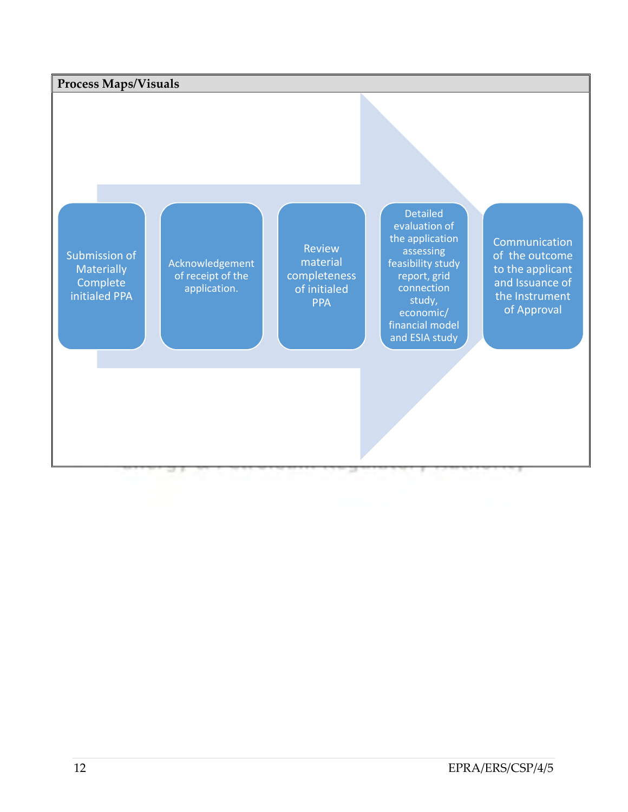